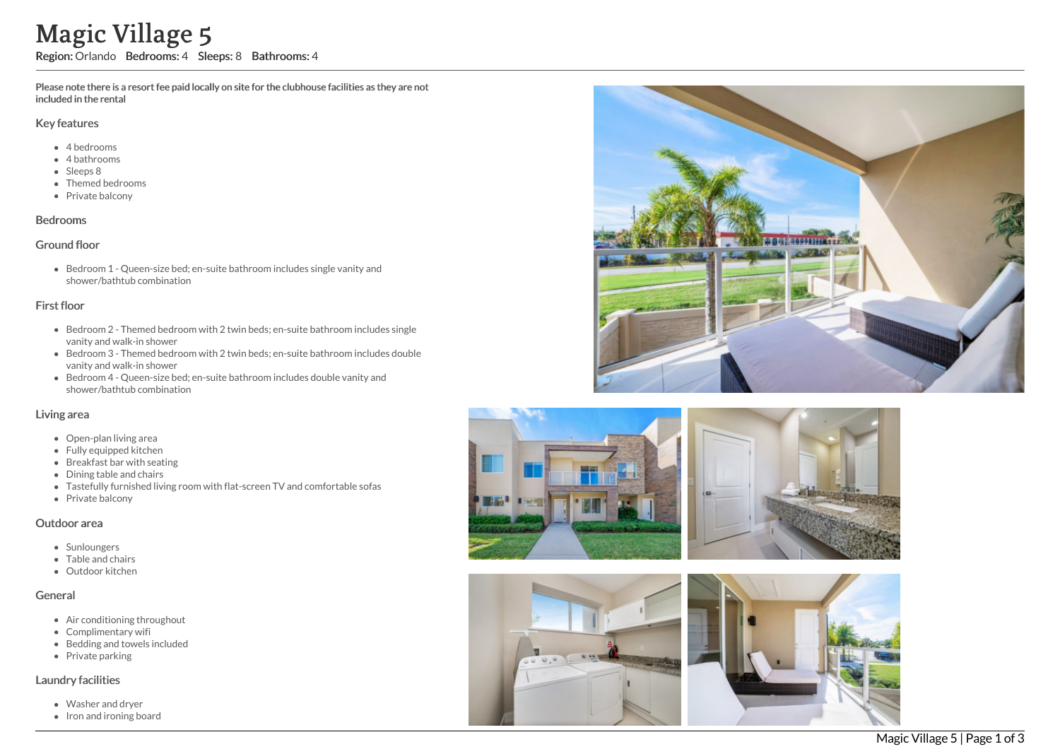Please note there is a resort fee paid locally on site for the clubhouse facilities as they are not included in the rental

#### Key features

- 4 bedrooms
- 4 bathrooms
- Sleeps 8
- Themed bedrooms
- Private balcony

#### Bedrooms

### Ground floor

Bedroom 1 - Queen-size bed; en-suite bathroom includes single vanity and shower/bathtub combination

### First floor

- Bedroom 2 Themed bedroom with 2 twin beds; en-suite bathroom includes single vanity and walk-in shower
- Bedroom 3 Themed bedroom with 2 twin beds; en-suite bathroom includes double vanity and walk-in shower
- Bedroom 4 Queen-size bed; en-suite bathroom includes double vanity and shower/bathtub combination

## Living area

- Open-plan living area
- Fully equipped kitchen
- Breakfast bar with seating
- Dining table and chairs
- Tastefully furnished living room with flat-screen TV and comfortable sofas
- Private balcony

#### Outdoor area

- Sunloungers
- Table and chairs
- Outdoor kitchen

### General

- Air conditioning throughout
- Complimentary wifi
- Bedding and towels included
- Private parking

#### Laundry facilities

- Washer and dryer
- 









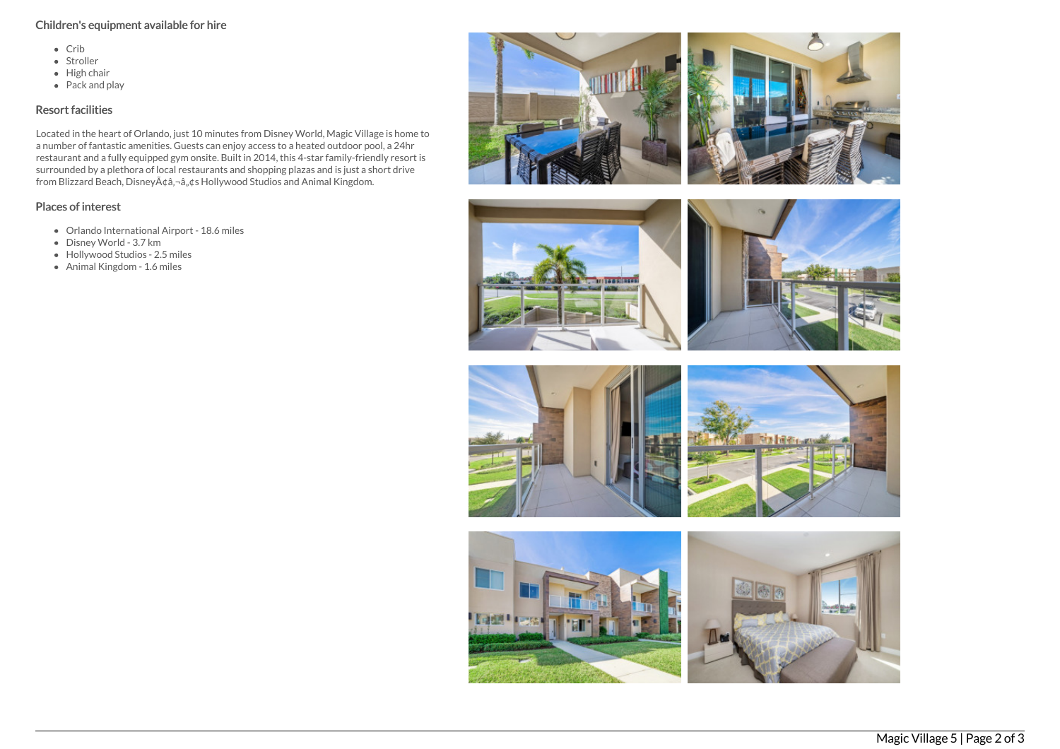## Children's equipment available for hire

- Crib
- Stroller
- $\bullet$  High chair
- $\bullet$  Pack and play

## Resort facilities

Located in the heart of Orlando, just 10 minutes from Disney World, Magic Village is home to a number of fantastic amenities. Guests can enjoy access to a heated outdoor pool, a 24hr restaurant and a fully equipped gym onsite. Built in 2014, this 4-star family-friendly resort is surrounded by a plethora of local restaurants and shopping plazas and is just a short drive from Blizzard Beach, Disney's Hollywood Studios and Animal Kingdom.

# Places of interest

- Orlando International Airport 18.6 miles
- Disney World 3.7 km
- Hollywood Studios 2.5 miles
- Animal Kingdom 1.6 miles